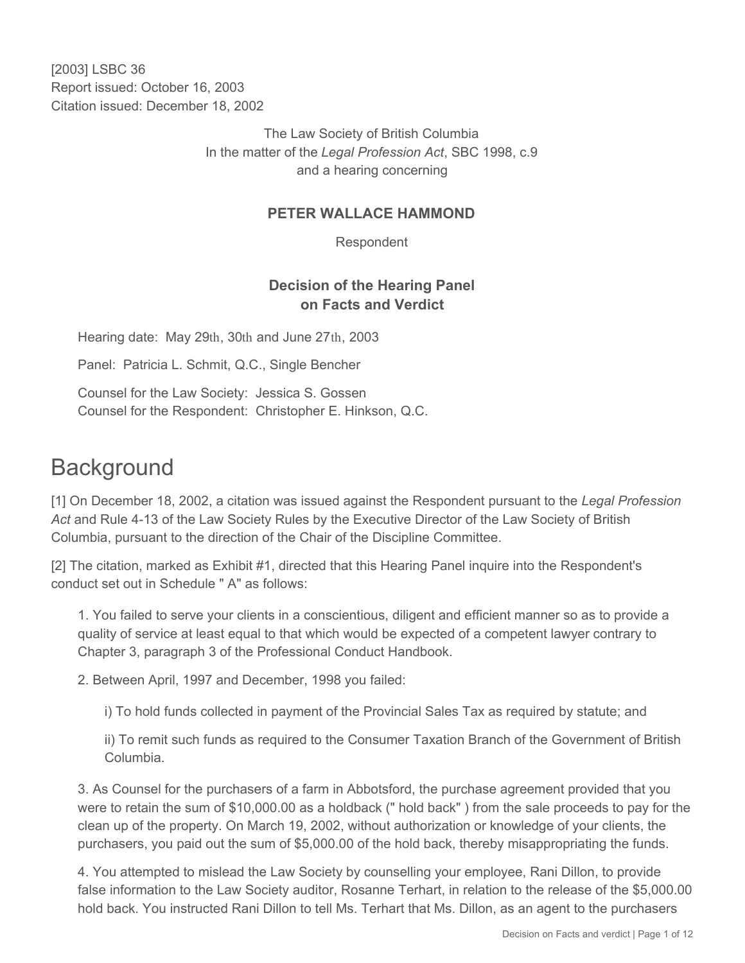[2003] LSBC 36 Report issued: October 16, 2003 Citation issued: December 18, 2002

> The Law Society of British Columbia In the matter of the *Legal Profession Act*, SBC 1998, c.9 and a hearing concerning

#### **PETER WALLACE HAMMOND**

Respondent

## **Decision of the Hearing Panel on Facts and Verdict**

Hearing date: May 29th, 30th and June 27th, 2003

Panel: Patricia L. Schmit, Q.C., Single Bencher

Counsel for the Law Society: Jessica S. Gossen Counsel for the Respondent: Christopher E. Hinkson, Q.C.

# **Background**

[1] On December 18, 2002, a citation was issued against the Respondent pursuant to the *Legal Profession Act* and Rule 4-13 of the Law Society Rules by the Executive Director of the Law Society of British Columbia, pursuant to the direction of the Chair of the Discipline Committee.

[2] The citation, marked as Exhibit #1, directed that this Hearing Panel inquire into the Respondent's conduct set out in Schedule " A" as follows:

1. You failed to serve your clients in a conscientious, diligent and efficient manner so as to provide a quality of service at least equal to that which would be expected of a competent lawyer contrary to Chapter 3, paragraph 3 of the Professional Conduct Handbook.

2. Between April, 1997 and December, 1998 you failed:

i) To hold funds collected in payment of the Provincial Sales Tax as required by statute; and

ii) To remit such funds as required to the Consumer Taxation Branch of the Government of British Columbia.

3. As Counsel for the purchasers of a farm in Abbotsford, the purchase agreement provided that you were to retain the sum of \$10,000.00 as a holdback (" hold back" ) from the sale proceeds to pay for the clean up of the property. On March 19, 2002, without authorization or knowledge of your clients, the purchasers, you paid out the sum of \$5,000.00 of the hold back, thereby misappropriating the funds.

4. You attempted to mislead the Law Society by counselling your employee, Rani Dillon, to provide false information to the Law Society auditor, Rosanne Terhart, in relation to the release of the \$5,000.00 hold back. You instructed Rani Dillon to tell Ms. Terhart that Ms. Dillon, as an agent to the purchasers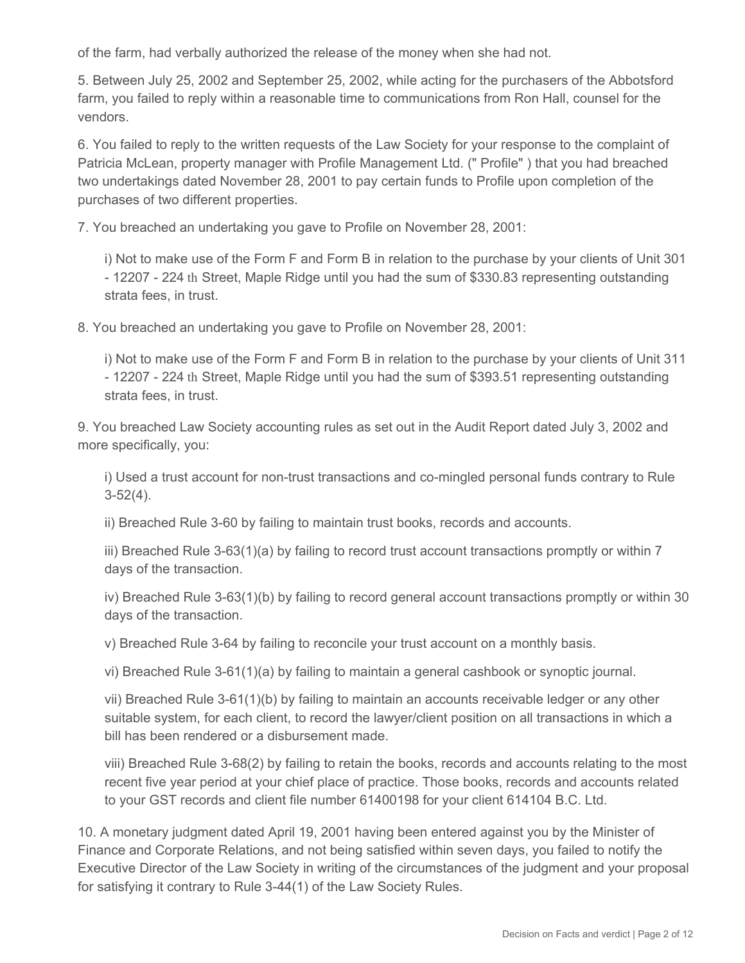of the farm, had verbally authorized the release of the money when she had not.

5. Between July 25, 2002 and September 25, 2002, while acting for the purchasers of the Abbotsford farm, you failed to reply within a reasonable time to communications from Ron Hall, counsel for the vendors.

6. You failed to reply to the written requests of the Law Society for your response to the complaint of Patricia McLean, property manager with Profile Management Ltd. (" Profile" ) that you had breached two undertakings dated November 28, 2001 to pay certain funds to Profile upon completion of the purchases of two different properties.

7. You breached an undertaking you gave to Profile on November 28, 2001:

i) Not to make use of the Form F and Form B in relation to the purchase by your clients of Unit 301 - 12207 - 224 th Street, Maple Ridge until you had the sum of \$330.83 representing outstanding strata fees, in trust.

8. You breached an undertaking you gave to Profile on November 28, 2001:

i) Not to make use of the Form F and Form B in relation to the purchase by your clients of Unit 311 - 12207 - 224 th Street, Maple Ridge until you had the sum of \$393.51 representing outstanding strata fees, in trust.

9. You breached Law Society accounting rules as set out in the Audit Report dated July 3, 2002 and more specifically, you:

i) Used a trust account for non-trust transactions and co-mingled personal funds contrary to Rule 3-52(4).

ii) Breached Rule 3-60 by failing to maintain trust books, records and accounts.

iii) Breached Rule 3-63(1)(a) by failing to record trust account transactions promptly or within 7 days of the transaction.

iv) Breached Rule 3-63(1)(b) by failing to record general account transactions promptly or within 30 days of the transaction.

v) Breached Rule 3-64 by failing to reconcile your trust account on a monthly basis.

vi) Breached Rule 3-61(1)(a) by failing to maintain a general cashbook or synoptic journal.

vii) Breached Rule 3-61(1)(b) by failing to maintain an accounts receivable ledger or any other suitable system, for each client, to record the lawyer/client position on all transactions in which a bill has been rendered or a disbursement made.

viii) Breached Rule 3-68(2) by failing to retain the books, records and accounts relating to the most recent five year period at your chief place of practice. Those books, records and accounts related to your GST records and client file number 61400198 for your client 614104 B.C. Ltd.

10. A monetary judgment dated April 19, 2001 having been entered against you by the Minister of Finance and Corporate Relations, and not being satisfied within seven days, you failed to notify the Executive Director of the Law Society in writing of the circumstances of the judgment and your proposal for satisfying it contrary to Rule 3-44(1) of the Law Society Rules.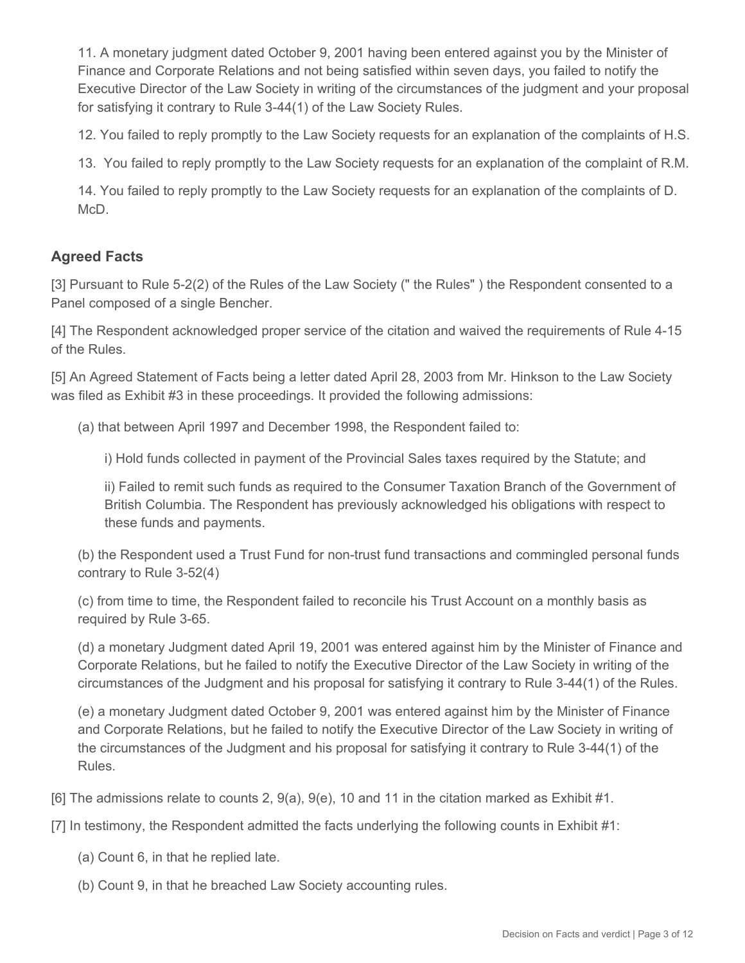11. A monetary judgment dated October 9, 2001 having been entered against you by the Minister of Finance and Corporate Relations and not being satisfied within seven days, you failed to notify the Executive Director of the Law Society in writing of the circumstances of the judgment and your proposal for satisfying it contrary to Rule 3-44(1) of the Law Society Rules.

12. You failed to reply promptly to the Law Society requests for an explanation of the complaints of H.S.

13. You failed to reply promptly to the Law Society requests for an explanation of the complaint of R.M.

14. You failed to reply promptly to the Law Society requests for an explanation of the complaints of D. McD.

### **Agreed Facts**

[3] Pursuant to Rule 5-2(2) of the Rules of the Law Society (" the Rules") the Respondent consented to a Panel composed of a single Bencher.

[4] The Respondent acknowledged proper service of the citation and waived the requirements of Rule 4-15 of the Rules.

[5] An Agreed Statement of Facts being a letter dated April 28, 2003 from Mr. Hinkson to the Law Society was filed as Exhibit #3 in these proceedings. It provided the following admissions:

(a) that between April 1997 and December 1998, the Respondent failed to:

i) Hold funds collected in payment of the Provincial Sales taxes required by the Statute; and

ii) Failed to remit such funds as required to the Consumer Taxation Branch of the Government of British Columbia. The Respondent has previously acknowledged his obligations with respect to these funds and payments.

(b) the Respondent used a Trust Fund for non-trust fund transactions and commingled personal funds contrary to Rule 3-52(4)

(c) from time to time, the Respondent failed to reconcile his Trust Account on a monthly basis as required by Rule 3-65.

(d) a monetary Judgment dated April 19, 2001 was entered against him by the Minister of Finance and Corporate Relations, but he failed to notify the Executive Director of the Law Society in writing of the circumstances of the Judgment and his proposal for satisfying it contrary to Rule 3-44(1) of the Rules.

(e) a monetary Judgment dated October 9, 2001 was entered against him by the Minister of Finance and Corporate Relations, but he failed to notify the Executive Director of the Law Society in writing of the circumstances of the Judgment and his proposal for satisfying it contrary to Rule 3-44(1) of the Rules.

[6] The admissions relate to counts 2, 9(a), 9(e), 10 and 11 in the citation marked as Exhibit #1.

[7] In testimony, the Respondent admitted the facts underlying the following counts in Exhibit #1:

- (a) Count 6, in that he replied late.
- (b) Count 9, in that he breached Law Society accounting rules.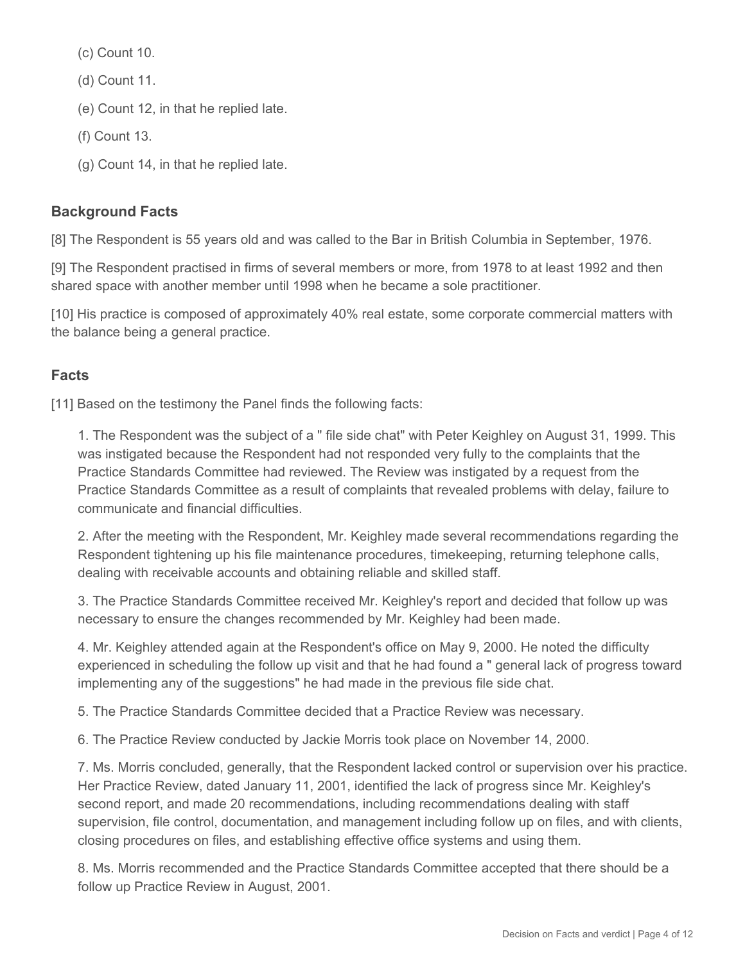(c) Count 10.

(d) Count 11.

(e) Count 12, in that he replied late.

(f) Count 13.

(g) Count 14, in that he replied late.

# **Background Facts**

[8] The Respondent is 55 years old and was called to the Bar in British Columbia in September, 1976.

[9] The Respondent practised in firms of several members or more, from 1978 to at least 1992 and then shared space with another member until 1998 when he became a sole practitioner.

[10] His practice is composed of approximately 40% real estate, some corporate commercial matters with the balance being a general practice.

# **Facts**

[11] Based on the testimony the Panel finds the following facts:

1. The Respondent was the subject of a " file side chat" with Peter Keighley on August 31, 1999. This was instigated because the Respondent had not responded very fully to the complaints that the Practice Standards Committee had reviewed. The Review was instigated by a request from the Practice Standards Committee as a result of complaints that revealed problems with delay, failure to communicate and financial difficulties.

2. After the meeting with the Respondent, Mr. Keighley made several recommendations regarding the Respondent tightening up his file maintenance procedures, timekeeping, returning telephone calls, dealing with receivable accounts and obtaining reliable and skilled staff.

3. The Practice Standards Committee received Mr. Keighley's report and decided that follow up was necessary to ensure the changes recommended by Mr. Keighley had been made.

4. Mr. Keighley attended again at the Respondent's office on May 9, 2000. He noted the difficulty experienced in scheduling the follow up visit and that he had found a " general lack of progress toward implementing any of the suggestions" he had made in the previous file side chat.

5. The Practice Standards Committee decided that a Practice Review was necessary.

6. The Practice Review conducted by Jackie Morris took place on November 14, 2000.

7. Ms. Morris concluded, generally, that the Respondent lacked control or supervision over his practice. Her Practice Review, dated January 11, 2001, identified the lack of progress since Mr. Keighley's second report, and made 20 recommendations, including recommendations dealing with staff supervision, file control, documentation, and management including follow up on files, and with clients, closing procedures on files, and establishing effective office systems and using them.

8. Ms. Morris recommended and the Practice Standards Committee accepted that there should be a follow up Practice Review in August, 2001.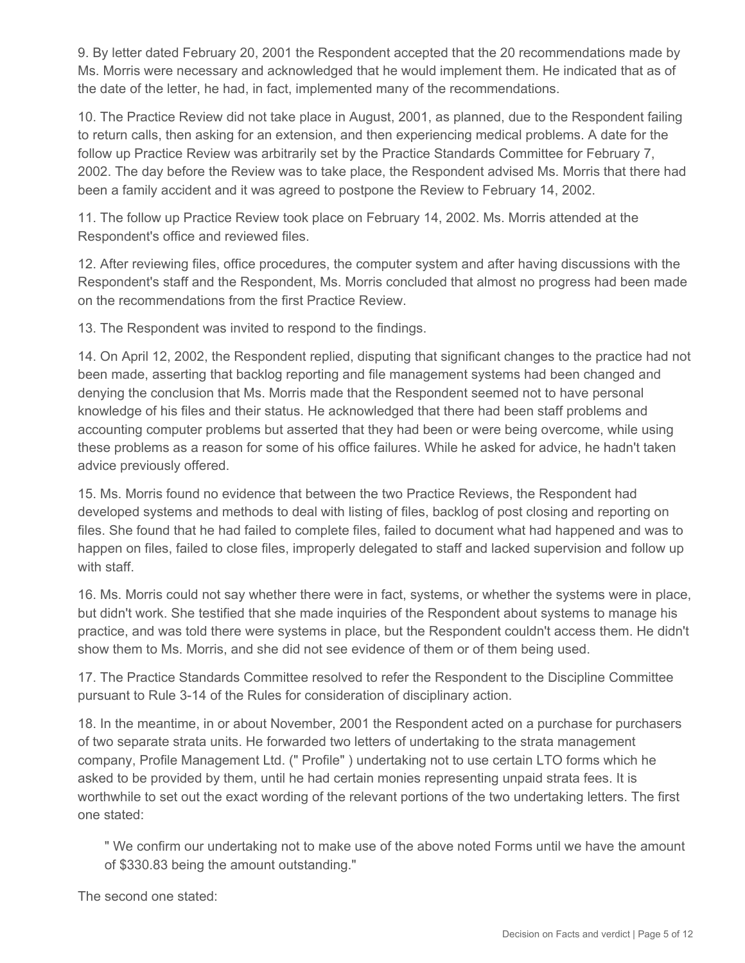9. By letter dated February 20, 2001 the Respondent accepted that the 20 recommendations made by Ms. Morris were necessary and acknowledged that he would implement them. He indicated that as of the date of the letter, he had, in fact, implemented many of the recommendations.

10. The Practice Review did not take place in August, 2001, as planned, due to the Respondent failing to return calls, then asking for an extension, and then experiencing medical problems. A date for the follow up Practice Review was arbitrarily set by the Practice Standards Committee for February 7, 2002. The day before the Review was to take place, the Respondent advised Ms. Morris that there had been a family accident and it was agreed to postpone the Review to February 14, 2002.

11. The follow up Practice Review took place on February 14, 2002. Ms. Morris attended at the Respondent's office and reviewed files.

12. After reviewing files, office procedures, the computer system and after having discussions with the Respondent's staff and the Respondent, Ms. Morris concluded that almost no progress had been made on the recommendations from the first Practice Review.

13. The Respondent was invited to respond to the findings.

14. On April 12, 2002, the Respondent replied, disputing that significant changes to the practice had not been made, asserting that backlog reporting and file management systems had been changed and denying the conclusion that Ms. Morris made that the Respondent seemed not to have personal knowledge of his files and their status. He acknowledged that there had been staff problems and accounting computer problems but asserted that they had been or were being overcome, while using these problems as a reason for some of his office failures. While he asked for advice, he hadn't taken advice previously offered.

15. Ms. Morris found no evidence that between the two Practice Reviews, the Respondent had developed systems and methods to deal with listing of files, backlog of post closing and reporting on files. She found that he had failed to complete files, failed to document what had happened and was to happen on files, failed to close files, improperly delegated to staff and lacked supervision and follow up with staff.

16. Ms. Morris could not say whether there were in fact, systems, or whether the systems were in place, but didn't work. She testified that she made inquiries of the Respondent about systems to manage his practice, and was told there were systems in place, but the Respondent couldn't access them. He didn't show them to Ms. Morris, and she did not see evidence of them or of them being used.

17. The Practice Standards Committee resolved to refer the Respondent to the Discipline Committee pursuant to Rule 3-14 of the Rules for consideration of disciplinary action.

18. In the meantime, in or about November, 2001 the Respondent acted on a purchase for purchasers of two separate strata units. He forwarded two letters of undertaking to the strata management company, Profile Management Ltd. (" Profile" ) undertaking not to use certain LTO forms which he asked to be provided by them, until he had certain monies representing unpaid strata fees. It is worthwhile to set out the exact wording of the relevant portions of the two undertaking letters. The first one stated:

" We confirm our undertaking not to make use of the above noted Forms until we have the amount of \$330.83 being the amount outstanding."

The second one stated: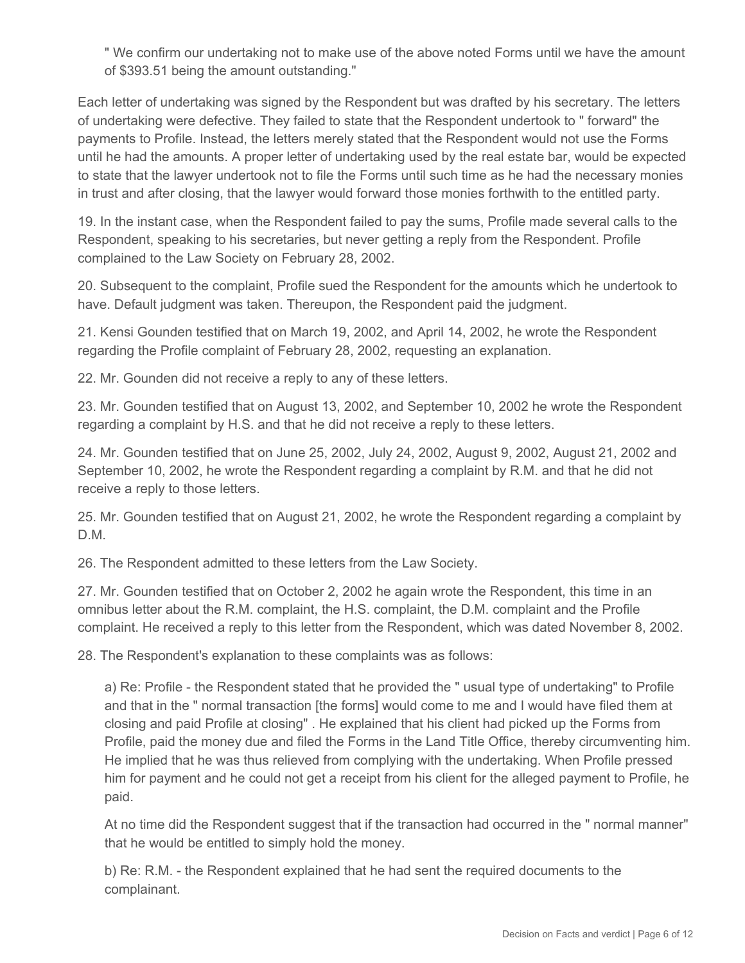" We confirm our undertaking not to make use of the above noted Forms until we have the amount of \$393.51 being the amount outstanding."

Each letter of undertaking was signed by the Respondent but was drafted by his secretary. The letters of undertaking were defective. They failed to state that the Respondent undertook to " forward" the payments to Profile. Instead, the letters merely stated that the Respondent would not use the Forms until he had the amounts. A proper letter of undertaking used by the real estate bar, would be expected to state that the lawyer undertook not to file the Forms until such time as he had the necessary monies in trust and after closing, that the lawyer would forward those monies forthwith to the entitled party.

19. In the instant case, when the Respondent failed to pay the sums, Profile made several calls to the Respondent, speaking to his secretaries, but never getting a reply from the Respondent. Profile complained to the Law Society on February 28, 2002.

20. Subsequent to the complaint, Profile sued the Respondent for the amounts which he undertook to have. Default judgment was taken. Thereupon, the Respondent paid the judgment.

21. Kensi Gounden testified that on March 19, 2002, and April 14, 2002, he wrote the Respondent regarding the Profile complaint of February 28, 2002, requesting an explanation.

22. Mr. Gounden did not receive a reply to any of these letters.

23. Mr. Gounden testified that on August 13, 2002, and September 10, 2002 he wrote the Respondent regarding a complaint by H.S. and that he did not receive a reply to these letters.

24. Mr. Gounden testified that on June 25, 2002, July 24, 2002, August 9, 2002, August 21, 2002 and September 10, 2002, he wrote the Respondent regarding a complaint by R.M. and that he did not receive a reply to those letters.

25. Mr. Gounden testified that on August 21, 2002, he wrote the Respondent regarding a complaint by D.M.

26. The Respondent admitted to these letters from the Law Society.

27. Mr. Gounden testified that on October 2, 2002 he again wrote the Respondent, this time in an omnibus letter about the R.M. complaint, the H.S. complaint, the D.M. complaint and the Profile complaint. He received a reply to this letter from the Respondent, which was dated November 8, 2002.

28. The Respondent's explanation to these complaints was as follows:

a) Re: Profile - the Respondent stated that he provided the " usual type of undertaking" to Profile and that in the " normal transaction [the forms] would come to me and I would have filed them at closing and paid Profile at closing" . He explained that his client had picked up the Forms from Profile, paid the money due and filed the Forms in the Land Title Office, thereby circumventing him. He implied that he was thus relieved from complying with the undertaking. When Profile pressed him for payment and he could not get a receipt from his client for the alleged payment to Profile, he paid.

At no time did the Respondent suggest that if the transaction had occurred in the " normal manner" that he would be entitled to simply hold the money.

b) Re: R.M. - the Respondent explained that he had sent the required documents to the complainant.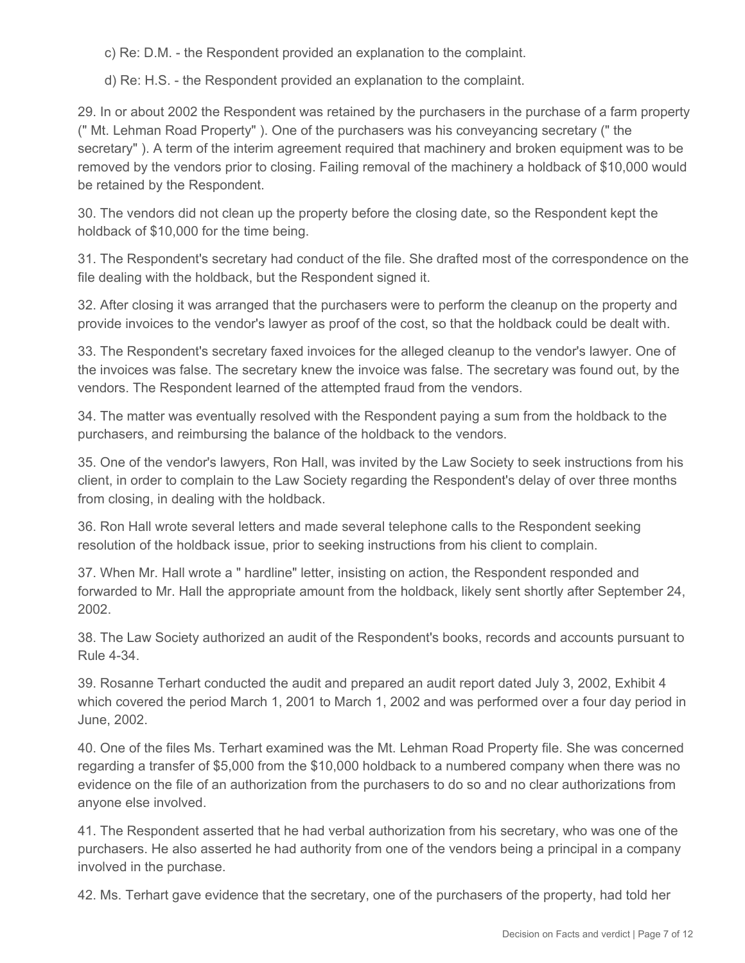c) Re: D.M. - the Respondent provided an explanation to the complaint.

d) Re: H.S. - the Respondent provided an explanation to the complaint.

29. In or about 2002 the Respondent was retained by the purchasers in the purchase of a farm property (" Mt. Lehman Road Property" ). One of the purchasers was his conveyancing secretary (" the secretary" ). A term of the interim agreement required that machinery and broken equipment was to be removed by the vendors prior to closing. Failing removal of the machinery a holdback of \$10,000 would be retained by the Respondent.

30. The vendors did not clean up the property before the closing date, so the Respondent kept the holdback of \$10,000 for the time being.

31. The Respondent's secretary had conduct of the file. She drafted most of the correspondence on the file dealing with the holdback, but the Respondent signed it.

32. After closing it was arranged that the purchasers were to perform the cleanup on the property and provide invoices to the vendor's lawyer as proof of the cost, so that the holdback could be dealt with.

33. The Respondent's secretary faxed invoices for the alleged cleanup to the vendor's lawyer. One of the invoices was false. The secretary knew the invoice was false. The secretary was found out, by the vendors. The Respondent learned of the attempted fraud from the vendors.

34. The matter was eventually resolved with the Respondent paying a sum from the holdback to the purchasers, and reimbursing the balance of the holdback to the vendors.

35. One of the vendor's lawyers, Ron Hall, was invited by the Law Society to seek instructions from his client, in order to complain to the Law Society regarding the Respondent's delay of over three months from closing, in dealing with the holdback.

36. Ron Hall wrote several letters and made several telephone calls to the Respondent seeking resolution of the holdback issue, prior to seeking instructions from his client to complain.

37. When Mr. Hall wrote a " hardline" letter, insisting on action, the Respondent responded and forwarded to Mr. Hall the appropriate amount from the holdback, likely sent shortly after September 24, 2002.

38. The Law Society authorized an audit of the Respondent's books, records and accounts pursuant to Rule 4-34.

39. Rosanne Terhart conducted the audit and prepared an audit report dated July 3, 2002, Exhibit 4 which covered the period March 1, 2001 to March 1, 2002 and was performed over a four day period in June, 2002.

40. One of the files Ms. Terhart examined was the Mt. Lehman Road Property file. She was concerned regarding a transfer of \$5,000 from the \$10,000 holdback to a numbered company when there was no evidence on the file of an authorization from the purchasers to do so and no clear authorizations from anyone else involved.

41. The Respondent asserted that he had verbal authorization from his secretary, who was one of the purchasers. He also asserted he had authority from one of the vendors being a principal in a company involved in the purchase.

42. Ms. Terhart gave evidence that the secretary, one of the purchasers of the property, had told her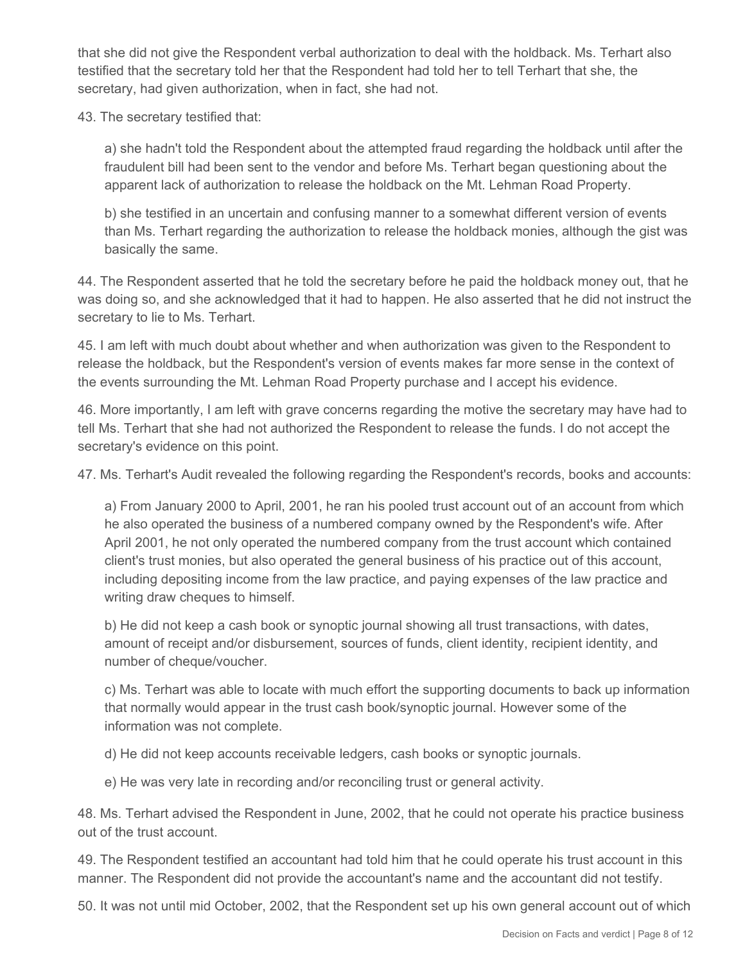that she did not give the Respondent verbal authorization to deal with the holdback. Ms. Terhart also testified that the secretary told her that the Respondent had told her to tell Terhart that she, the secretary, had given authorization, when in fact, she had not.

43. The secretary testified that:

a) she hadn't told the Respondent about the attempted fraud regarding the holdback until after the fraudulent bill had been sent to the vendor and before Ms. Terhart began questioning about the apparent lack of authorization to release the holdback on the Mt. Lehman Road Property.

b) she testified in an uncertain and confusing manner to a somewhat different version of events than Ms. Terhart regarding the authorization to release the holdback monies, although the gist was basically the same.

44. The Respondent asserted that he told the secretary before he paid the holdback money out, that he was doing so, and she acknowledged that it had to happen. He also asserted that he did not instruct the secretary to lie to Ms. Terhart.

45. I am left with much doubt about whether and when authorization was given to the Respondent to release the holdback, but the Respondent's version of events makes far more sense in the context of the events surrounding the Mt. Lehman Road Property purchase and I accept his evidence.

46. More importantly, I am left with grave concerns regarding the motive the secretary may have had to tell Ms. Terhart that she had not authorized the Respondent to release the funds. I do not accept the secretary's evidence on this point.

47. Ms. Terhart's Audit revealed the following regarding the Respondent's records, books and accounts:

a) From January 2000 to April, 2001, he ran his pooled trust account out of an account from which he also operated the business of a numbered company owned by the Respondent's wife. After April 2001, he not only operated the numbered company from the trust account which contained client's trust monies, but also operated the general business of his practice out of this account, including depositing income from the law practice, and paying expenses of the law practice and writing draw cheques to himself.

b) He did not keep a cash book or synoptic journal showing all trust transactions, with dates, amount of receipt and/or disbursement, sources of funds, client identity, recipient identity, and number of cheque/voucher.

c) Ms. Terhart was able to locate with much effort the supporting documents to back up information that normally would appear in the trust cash book/synoptic journal. However some of the information was not complete.

d) He did not keep accounts receivable ledgers, cash books or synoptic journals.

e) He was very late in recording and/or reconciling trust or general activity.

48. Ms. Terhart advised the Respondent in June, 2002, that he could not operate his practice business out of the trust account.

49. The Respondent testified an accountant had told him that he could operate his trust account in this manner. The Respondent did not provide the accountant's name and the accountant did not testify.

50. It was not until mid October, 2002, that the Respondent set up his own general account out of which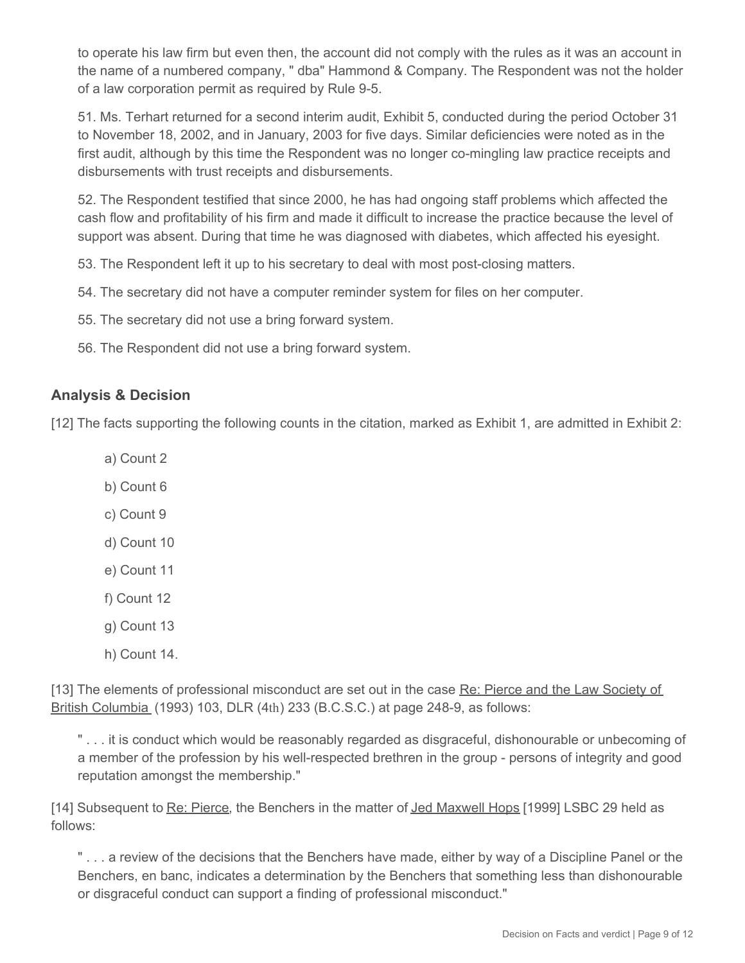to operate his law firm but even then, the account did not comply with the rules as it was an account in the name of a numbered company, " dba" Hammond & Company. The Respondent was not the holder of a law corporation permit as required by Rule 9-5.

51. Ms. Terhart returned for a second interim audit, Exhibit 5, conducted during the period October 31 to November 18, 2002, and in January, 2003 for five days. Similar deficiencies were noted as in the first audit, although by this time the Respondent was no longer co-mingling law practice receipts and disbursements with trust receipts and disbursements.

52. The Respondent testified that since 2000, he has had ongoing staff problems which affected the cash flow and profitability of his firm and made it difficult to increase the practice because the level of support was absent. During that time he was diagnosed with diabetes, which affected his eyesight.

53. The Respondent left it up to his secretary to deal with most post-closing matters.

54. The secretary did not have a computer reminder system for files on her computer.

55. The secretary did not use a bring forward system.

56. The Respondent did not use a bring forward system.

#### **Analysis & Decision**

[12] The facts supporting the following counts in the citation, marked as Exhibit 1, are admitted in Exhibit 2:

- a) Count 2
- b) Count 6
- c) Count 9
- d) Count 10
- e) Count 11
- f) Count 12
- g) Count 13
- h) Count 14.

[13] The elements of professional misconduct are set out in the case Re: Pierce and the Law Society of British Columbia (1993) 103, DLR (4th) 233 (B.C.S.C.) at page 248-9, as follows:

"... it is conduct which would be reasonably regarded as disgraceful, dishonourable or unbecoming of a member of the profession by his well-respected brethren in the group - persons of integrity and good reputation amongst the membership."

[14] Subsequent to Re: Pierce, the Benchers in the matter of Jed Maxwell Hops [1999] LSBC 29 held as follows:

" . . . a review of the decisions that the Benchers have made, either by way of a Discipline Panel or the Benchers, en banc, indicates a determination by the Benchers that something less than dishonourable or disgraceful conduct can support a finding of professional misconduct."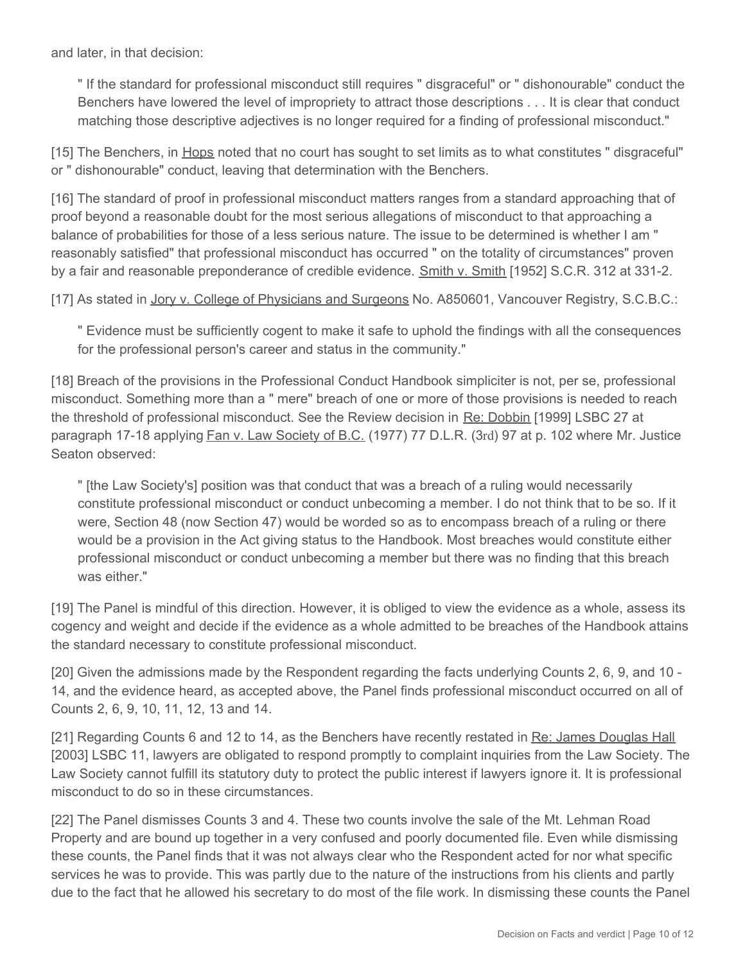and later, in that decision:

" If the standard for professional misconduct still requires " disgraceful" or " dishonourable" conduct the Benchers have lowered the level of impropriety to attract those descriptions . . . It is clear that conduct matching those descriptive adjectives is no longer required for a finding of professional misconduct."

[15] The Benchers, in Hops noted that no court has sought to set limits as to what constitutes " disgraceful" or " dishonourable" conduct, leaving that determination with the Benchers.

[16] The standard of proof in professional misconduct matters ranges from a standard approaching that of proof beyond a reasonable doubt for the most serious allegations of misconduct to that approaching a balance of probabilities for those of a less serious nature. The issue to be determined is whether I am " reasonably satisfied" that professional misconduct has occurred " on the totality of circumstances" proven by a fair and reasonable preponderance of credible evidence. Smith v. Smith [1952] S.C.R. 312 at 331-2.

[17] As stated in Jory v. College of Physicians and Surgeons No. A850601, Vancouver Registry, S.C.B.C.:

" Evidence must be sufficiently cogent to make it safe to uphold the findings with all the consequences for the professional person's career and status in the community."

[18] Breach of the provisions in the Professional Conduct Handbook simpliciter is not, per se, professional misconduct. Something more than a " mere" breach of one or more of those provisions is needed to reach the threshold of professional misconduct. See the Review decision in Re: Dobbin [1999] LSBC 27 at paragraph 17-18 applying Fan v. Law Society of B.C. (1977) 77 D.L.R. (3rd) 97 at p. 102 where Mr. Justice Seaton observed:

" [the Law Society's] position was that conduct that was a breach of a ruling would necessarily constitute professional misconduct or conduct unbecoming a member. I do not think that to be so. If it were, Section 48 (now Section 47) would be worded so as to encompass breach of a ruling or there would be a provision in the Act giving status to the Handbook. Most breaches would constitute either professional misconduct or conduct unbecoming a member but there was no finding that this breach was either."

[19] The Panel is mindful of this direction. However, it is obliged to view the evidence as a whole, assess its cogency and weight and decide if the evidence as a whole admitted to be breaches of the Handbook attains the standard necessary to constitute professional misconduct.

[20] Given the admissions made by the Respondent regarding the facts underlying Counts 2, 6, 9, and 10 - 14, and the evidence heard, as accepted above, the Panel finds professional misconduct occurred on all of Counts 2, 6, 9, 10, 11, 12, 13 and 14.

[21] Regarding Counts 6 and 12 to 14, as the Benchers have recently restated in Re: James Douglas Hall [2003] LSBC 11, lawyers are obligated to respond promptly to complaint inquiries from the Law Society. The Law Society cannot fulfill its statutory duty to protect the public interest if lawyers ignore it. It is professional misconduct to do so in these circumstances.

[22] The Panel dismisses Counts 3 and 4. These two counts involve the sale of the Mt. Lehman Road Property and are bound up together in a very confused and poorly documented file. Even while dismissing these counts, the Panel finds that it was not always clear who the Respondent acted for nor what specific services he was to provide. This was partly due to the nature of the instructions from his clients and partly due to the fact that he allowed his secretary to do most of the file work. In dismissing these counts the Panel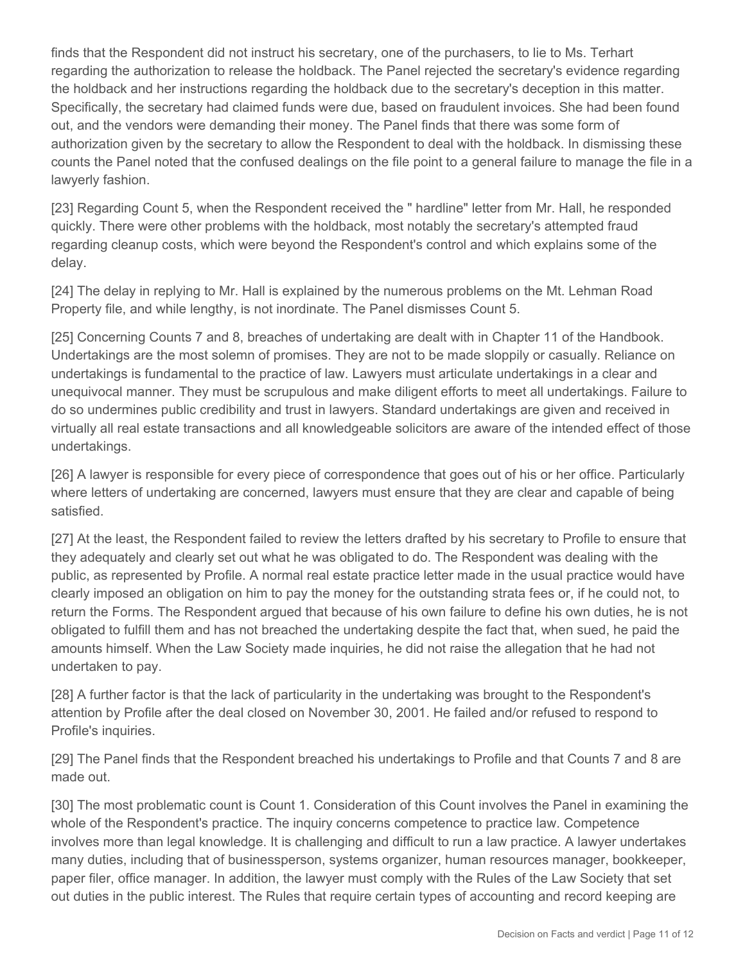finds that the Respondent did not instruct his secretary, one of the purchasers, to lie to Ms. Terhart regarding the authorization to release the holdback. The Panel rejected the secretary's evidence regarding the holdback and her instructions regarding the holdback due to the secretary's deception in this matter. Specifically, the secretary had claimed funds were due, based on fraudulent invoices. She had been found out, and the vendors were demanding their money. The Panel finds that there was some form of authorization given by the secretary to allow the Respondent to deal with the holdback. In dismissing these counts the Panel noted that the confused dealings on the file point to a general failure to manage the file in a lawyerly fashion.

[23] Regarding Count 5, when the Respondent received the " hardline" letter from Mr. Hall, he responded quickly. There were other problems with the holdback, most notably the secretary's attempted fraud regarding cleanup costs, which were beyond the Respondent's control and which explains some of the delay.

[24] The delay in replying to Mr. Hall is explained by the numerous problems on the Mt. Lehman Road Property file, and while lengthy, is not inordinate. The Panel dismisses Count 5.

[25] Concerning Counts 7 and 8, breaches of undertaking are dealt with in Chapter 11 of the Handbook. Undertakings are the most solemn of promises. They are not to be made sloppily or casually. Reliance on undertakings is fundamental to the practice of law. Lawyers must articulate undertakings in a clear and unequivocal manner. They must be scrupulous and make diligent efforts to meet all undertakings. Failure to do so undermines public credibility and trust in lawyers. Standard undertakings are given and received in virtually all real estate transactions and all knowledgeable solicitors are aware of the intended effect of those undertakings.

[26] A lawyer is responsible for every piece of correspondence that goes out of his or her office. Particularly where letters of undertaking are concerned, lawyers must ensure that they are clear and capable of being satisfied.

[27] At the least, the Respondent failed to review the letters drafted by his secretary to Profile to ensure that they adequately and clearly set out what he was obligated to do. The Respondent was dealing with the public, as represented by Profile. A normal real estate practice letter made in the usual practice would have clearly imposed an obligation on him to pay the money for the outstanding strata fees or, if he could not, to return the Forms. The Respondent argued that because of his own failure to define his own duties, he is not obligated to fulfill them and has not breached the undertaking despite the fact that, when sued, he paid the amounts himself. When the Law Society made inquiries, he did not raise the allegation that he had not undertaken to pay.

[28] A further factor is that the lack of particularity in the undertaking was brought to the Respondent's attention by Profile after the deal closed on November 30, 2001. He failed and/or refused to respond to Profile's inquiries.

[29] The Panel finds that the Respondent breached his undertakings to Profile and that Counts 7 and 8 are made out.

[30] The most problematic count is Count 1. Consideration of this Count involves the Panel in examining the whole of the Respondent's practice. The inquiry concerns competence to practice law. Competence involves more than legal knowledge. It is challenging and difficult to run a law practice. A lawyer undertakes many duties, including that of businessperson, systems organizer, human resources manager, bookkeeper, paper filer, office manager. In addition, the lawyer must comply with the Rules of the Law Society that set out duties in the public interest. The Rules that require certain types of accounting and record keeping are